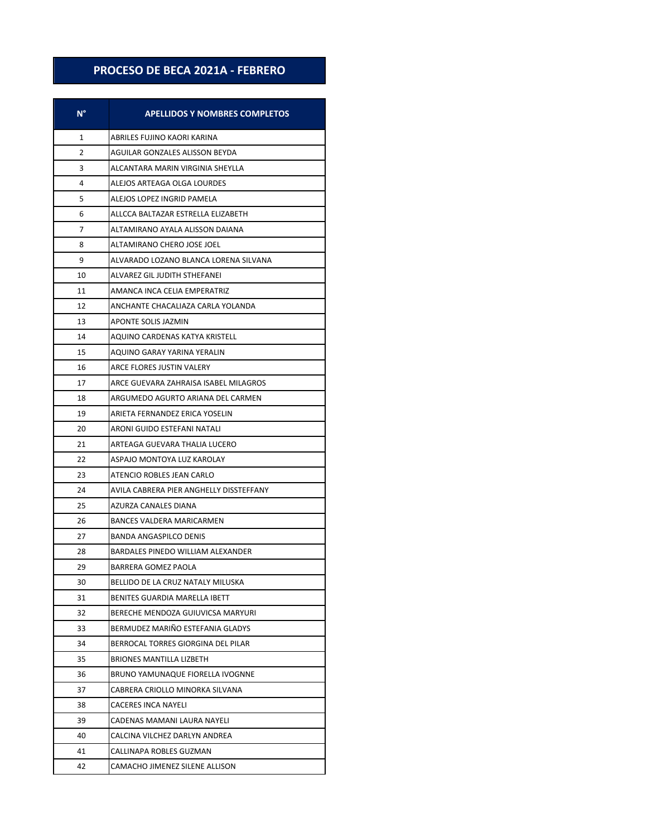## **PROCESO DE BECA 2021A - FEBRERO**

| N° | <b>APELLIDOS Y NOMBRES COMPLETOS</b>    |
|----|-----------------------------------------|
| 1  | ABRILES FUJINO KAORI KARINA             |
| 2  | AGUILAR GONZALES ALISSON BEYDA          |
| 3  | ALCANTARA MARIN VIRGINIA SHEYLLA        |
| 4  | ALEJOS ARTEAGA OLGA LOURDES             |
| 5  | ALEJOS LOPEZ INGRID PAMELA              |
| 6  | ALLCCA BALTAZAR ESTRELLA ELIZABETH      |
| 7  | ALTAMIRANO AYALA ALISSON DAIANA         |
| 8  | ALTAMIRANO CHERO JOSE JOEL              |
| 9  | ALVARADO LOZANO BLANCA LORENA SILVANA   |
| 10 | ALVAREZ GIL JUDITH STHEFANEI            |
| 11 | AMANCA INCA CELIA EMPERATRIZ            |
| 12 | ANCHANTE CHACALIAZA CARLA YOLANDA       |
| 13 | <b>APONTE SOLIS JAZMIN</b>              |
| 14 | AQUINO CARDENAS KATYA KRISTELL          |
| 15 | AOUINO GARAY YARINA YERALIN             |
| 16 | <b>ARCE FLORES JUSTIN VALERY</b>        |
| 17 | ARCE GUEVARA ZAHRAISA ISABEL MILAGROS   |
| 18 | ARGUMEDO AGURTO ARIANA DEL CARMEN       |
| 19 | ARIETA FERNANDEZ ERICA YOSELIN          |
| 20 | ARONI GUIDO ESTEFANI NATALI             |
| 21 | ARTEAGA GUEVARA THALIA LUCERO           |
| 22 | ASPAJO MONTOYA LUZ KAROLAY              |
| 23 | ATENCIO ROBLES JEAN CARLO               |
| 24 | AVILA CABRERA PIER ANGHELLY DISSTEFFANY |
| 25 | AZURZA CANALES DIANA                    |
| 26 | <b>BANCES VALDERA MARICARMEN</b>        |
| 27 | BANDA ANGASPILCO DENIS                  |
| 28 | BARDALES PINEDO WILLIAM ALEXANDER       |
| 29 | BARRERA GOMEZ PAOLA                     |
| 30 | BELLIDO DE LA CRUZ NATALY MILUSKA       |
| 31 | BENITES GUARDIA MARELLA IBETT           |
| 32 | BERECHE MENDOZA GUIUVICSA MARYURI       |
| 33 | BERMUDEZ MARIÑO ESTEFANIA GLADYS        |
| 34 | BERROCAL TORRES GIORGINA DEL PILAR      |
| 35 | BRIONES MANTILLA LIZBETH                |
| 36 | BRUNO YAMUNAQUE FIORELLA IVOGNNE        |
| 37 | CABRERA CRIOLLO MINORKA SILVANA         |
| 38 | <b>CACERES INCA NAYELI</b>              |
| 39 | CADENAS MAMANI LAURA NAYELI             |
| 40 | CALCINA VILCHEZ DARLYN ANDREA           |
| 41 | CALLINAPA ROBLES GUZMAN                 |
| 42 | CAMACHO JIMENEZ SILENE ALLISON          |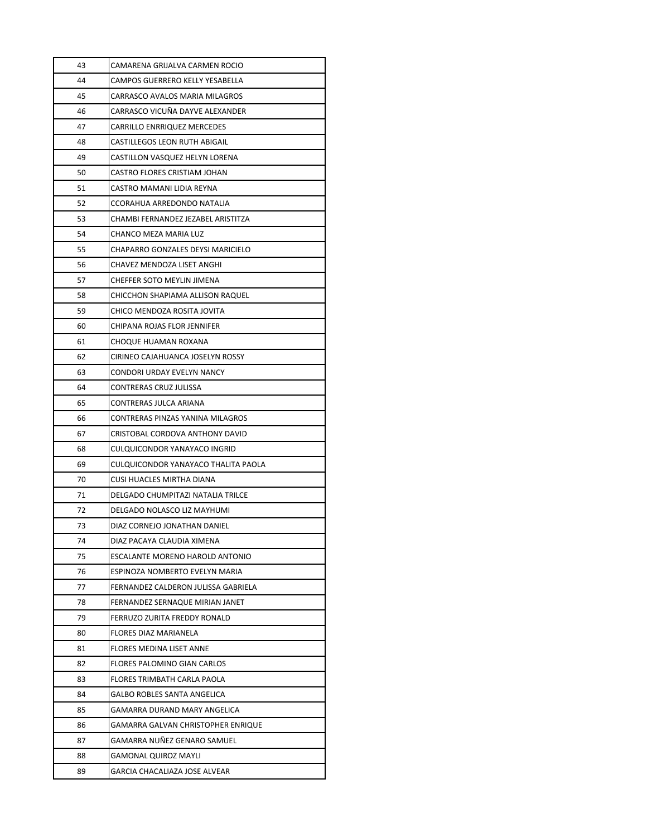| 43 | CAMARENA GRIJALVA CARMEN ROCIO      |
|----|-------------------------------------|
| 44 | CAMPOS GUERRERO KELLY YESABELLA     |
| 45 | CARRASCO AVALOS MARIA MILAGROS      |
| 46 | CARRASCO VICUÑA DAYVE ALEXANDER     |
| 47 | <b>CARRILLO ENRRIQUEZ MERCEDES</b>  |
| 48 | CASTILLEGOS LEON RUTH ABIGAIL       |
| 49 | CASTILLON VASQUEZ HELYN LORENA      |
| 50 | CASTRO FLORES CRISTIAM JOHAN        |
| 51 | CASTRO MAMANI LIDIA REYNA           |
| 52 | CCORAHUA ARREDONDO NATALIA          |
| 53 | CHAMBI FERNANDEZ JEZABEL ARISTITZA  |
| 54 | CHANCO MEZA MARIA LUZ               |
| 55 | CHAPARRO GONZALES DEYSI MARICIELO   |
| 56 | CHAVEZ MENDOZA LISET ANGHI          |
| 57 | CHEFFER SOTO MEYLIN JIMENA          |
| 58 | CHICCHON SHAPIAMA ALLISON RAQUEL    |
| 59 | CHICO MENDOZA ROSITA JOVITA         |
| 60 | CHIPANA ROJAS FLOR JENNIFER         |
| 61 | CHOQUE HUAMAN ROXANA                |
| 62 | CIRINEO CAJAHUANCA JOSELYN ROSSY    |
| 63 | CONDORI URDAY EVELYN NANCY          |
| 64 | CONTRERAS CRUZ JULISSA              |
| 65 | CONTRERAS JULCA ARIANA              |
| 66 | CONTRERAS PINZAS YANINA MILAGROS    |
| 67 | CRISTOBAL CORDOVA ANTHONY DAVID     |
| 68 | CULQUICONDOR YANAYACO INGRID        |
| 69 | CULQUICONDOR YANAYACO THALITA PAOLA |
| 70 | CUSI HUACLES MIRTHA DIANA           |
| 71 | DELGADO CHUMPITAZI NATALIA TRILCE   |
| 72 | DELGADO NOLASCO LIZ MAYHUMI         |
| 73 | DIAZ CORNEJO JONATHAN DANIEL        |
| 74 | DIAZ PACAYA CLAUDIA XIMENA          |
| 75 | ESCALANTE MORENO HAROLD ANTONIO     |
| 76 | ESPINOZA NOMBERTO EVELYN MARIA      |
| 77 | FERNANDEZ CALDERON JULISSA GABRIELA |
| 78 | FERNANDEZ SERNAQUE MIRIAN JANET     |
| 79 | FERRUZO ZURITA FREDDY RONALD        |
| 80 | FLORES DIAZ MARIANELA               |
| 81 | FLORES MEDINA LISET ANNE            |
| 82 | FLORES PALOMINO GIAN CARLOS         |
| 83 | FLORES TRIMBATH CARLA PAOLA         |
| 84 | GALBO ROBLES SANTA ANGELICA         |
| 85 | GAMARRA DURAND MARY ANGELICA        |
| 86 | GAMARRA GALVAN CHRISTOPHER ENRIQUE  |
| 87 | GAMARRA NUÑEZ GENARO SAMUEL         |
| 88 | GAMONAL QUIROZ MAYLI                |
| 89 | GARCIA CHACALIAZA JOSE ALVEAR       |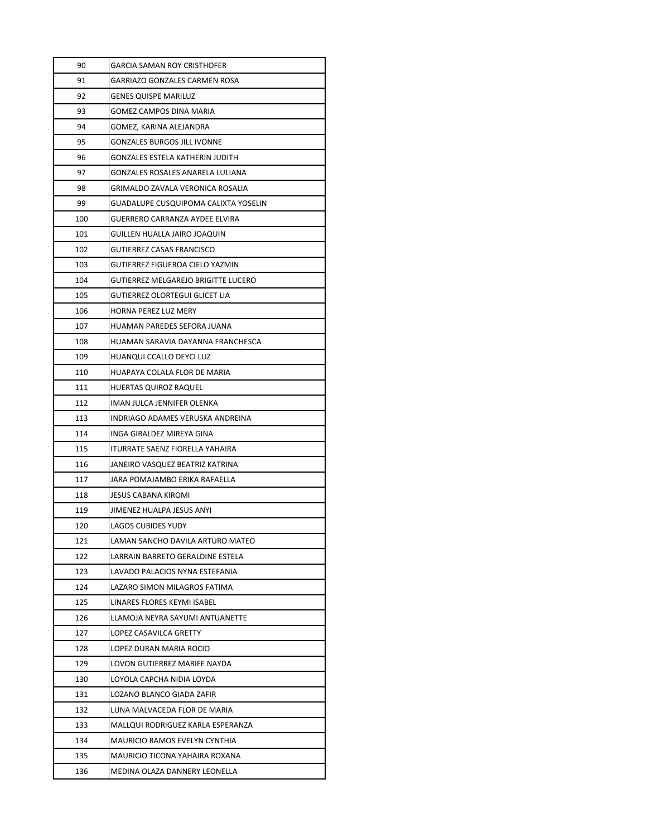| 90  | GARCIA SAMAN ROY CRISTHOFER                 |
|-----|---------------------------------------------|
| 91  | GARRIAZO GONZALES CARMEN ROSA               |
| 92  | GENES QUISPE MARILUZ                        |
| 93  | GOMEZ CAMPOS DINA MARIA                     |
| 94  | GOMEZ, KARINA ALEJANDRA                     |
| 95  | GONZALES BURGOS JILL IVONNE                 |
| 96  | GONZALES ESTELA KATHERIN JUDITH             |
| 97  | GONZALES ROSALES ANARELA LULIANA            |
| 98  | GRIMALDO ZAVALA VERONICA ROSALIA            |
| 99  | <b>GUADALUPE CUSQUIPOMA CALIXTA YOSELIN</b> |
| 100 | GUERRERO CARRANZA AYDEE ELVIRA              |
| 101 | GUILLEN HUALLA JAIRO JOAQUIN                |
| 102 | GUTIERREZ CASAS FRANCISCO                   |
| 103 | GUTIERREZ FIGUEROA CIELO YAZMIN             |
| 104 | GUTIERREZ MELGAREJO BRIGITTE LUCERO         |
| 105 | GUTIERREZ OLORTEGUI GLICET LIA              |
| 106 | HORNA PEREZ LUZ MERY                        |
| 107 | HUAMAN PAREDES SEFORA JUANA                 |
| 108 | HUAMAN SARAVIA DAYANNA FRANCHESCA           |
| 109 | HUANQUI CCALLO DEYCI LUZ                    |
| 110 | HUAPAYA COLALA FLOR DE MARIA                |
| 111 | HUERTAS QUIROZ RAQUEL                       |
| 112 | IMAN JULCA JENNIFER OLENKA                  |
| 113 | INDRIAGO ADAMES VERUSKA ANDREINA            |
| 114 | INGA GIRALDEZ MIREYA GINA                   |
| 115 | ITURRATE SAENZ FIORELLA YAHAIRA             |
| 116 | JANEIRO VASQUEZ BEATRIZ KATRINA             |
| 117 | JARA POMAJAMBO ERIKA RAFAELLA               |
| 118 | JESUS CABANA KIROMI                         |
| 119 | JIMENEZ HUALPA JESUS ANYI                   |
| 120 | LAGOS CUBIDES YUDY                          |
| 121 | LAMAN SANCHO DAVILA ARTURO MATEO            |
| 122 | LARRAIN BARRETO GERALDINE ESTELA            |
| 123 | LAVADO PALACIOS NYNA ESTEFANIA              |
| 124 | LAZARO SIMON MILAGROS FATIMA                |
| 125 | LINARES FLORES KEYMI ISABEL                 |
| 126 | LLAMOJA NEYRA SAYUMI ANTUANETTE             |
| 127 | LOPEZ CASAVILCA GRETTY                      |
| 128 | LOPEZ DURAN MARIA ROCIO                     |
| 129 | LOVON GUTIERREZ MARIFE NAYDA                |
| 130 | LOYOLA CAPCHA NIDIA LOYDA                   |
| 131 | LOZANO BLANCO GIADA ZAFIR                   |
| 132 | LUNA MALVACEDA FLOR DE MARIA                |
| 133 | MALLQUI RODRIGUEZ KARLA ESPERANZA           |
| 134 | <b>MAURICIO RAMOS EVELYN CYNTHIA</b>        |
| 135 | MAURICIO TICONA YAHAIRA ROXANA              |
| 136 | MEDINA OLAZA DANNERY LEONELLA               |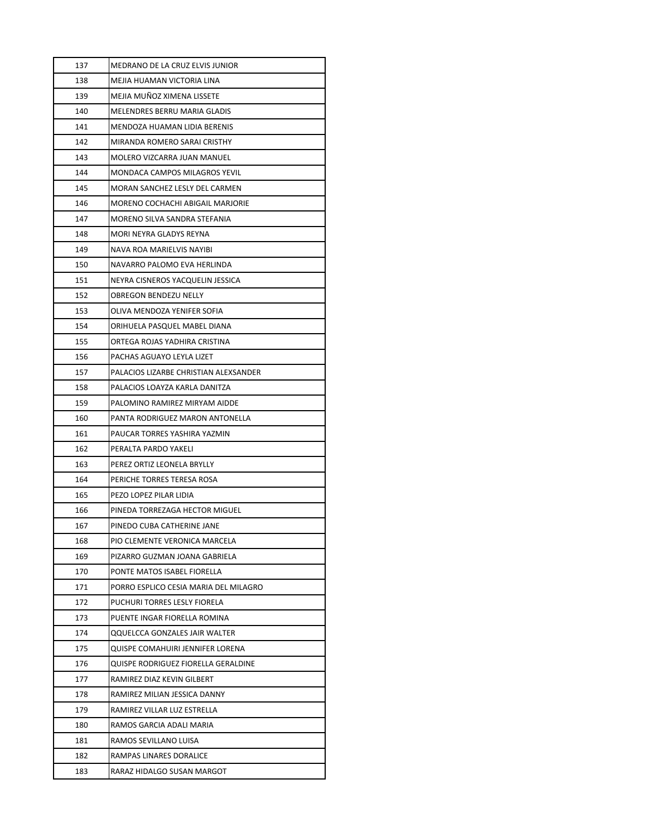| 137 | MEDRANO DE LA CRUZ ELVIS JUNIOR       |
|-----|---------------------------------------|
| 138 | MEJIA HUAMAN VICTORIA LINA            |
| 139 | MEJIA MUÑOZ XIMENA LISSETE            |
| 140 | MELENDRES BERRU MARIA GLADIS          |
| 141 | MENDOZA HUAMAN LIDIA BERENIS          |
| 142 | MIRANDA ROMERO SARAI CRISTHY          |
| 143 | MOLERO VIZCARRA JUAN MANUEL           |
| 144 | MONDACA CAMPOS MILAGROS YEVIL         |
| 145 | MORAN SANCHEZ LESLY DEL CARMEN        |
| 146 | MORENO COCHACHI ABIGAIL MARJORIE      |
| 147 | MORENO SILVA SANDRA STEFANIA          |
| 148 | MORI NEYRA GLADYS REYNA               |
| 149 | NAVA ROA MARIELVIS NAYIBI             |
| 150 | NAVARRO PALOMO EVA HERLINDA           |
| 151 | NEYRA CISNEROS YACQUELIN JESSICA      |
| 152 | <b>OBREGON BENDEZU NELLY</b>          |
| 153 | OLIVA MENDOZA YENIFER SOFIA           |
| 154 | ORIHUELA PASQUEL MABEL DIANA          |
| 155 | ORTEGA ROJAS YADHIRA CRISTINA         |
| 156 | PACHAS AGUAYO LEYLA LIZET             |
| 157 | PALACIOS LIZARBE CHRISTIAN ALEXSANDER |
| 158 | PALACIOS LOAYZA KARLA DANITZA         |
| 159 | PALOMINO RAMIREZ MIRYAM AIDDE         |
| 160 | PANTA RODRIGUEZ MARON ANTONELLA       |
| 161 | PAUCAR TORRES YASHIRA YAZMIN          |
| 162 | PERALTA PARDO YAKELI                  |
| 163 | PEREZ ORTIZ LEONELA BRYLLY            |
| 164 | PERICHE TORRES TERESA ROSA            |
| 165 | PEZO LOPEZ PILAR LIDIA                |
| 166 | PINEDA TORREZAGA HECTOR MIGUEL        |
| 167 | PINEDO CUBA CATHERINE JANE            |
| 168 | PIO CLEMENTE VERONICA MARCELA         |
| 169 | PIZARRO GUZMAN JOANA GABRIELA         |
| 170 | PONTE MATOS ISABEL FIORELLA           |
| 171 | PORRO ESPLICO CESIA MARIA DEL MILAGRO |
| 172 | PUCHURI TORRES LESLY FIORELA          |
| 173 | PUENTE INGAR FIORELLA ROMINA          |
| 174 | <b>QQUELCCA GONZALES JAIR WALTER</b>  |
| 175 | QUISPE COMAHUIRI JENNIFER LORENA      |
| 176 | QUISPE RODRIGUEZ FIORELLA GERALDINE   |
| 177 | RAMIREZ DIAZ KEVIN GILBERT            |
| 178 | RAMIREZ MILIAN JESSICA DANNY          |
| 179 | RAMIREZ VILLAR LUZ ESTRELLA           |
| 180 | RAMOS GARCIA ADALI MARIA              |
| 181 | RAMOS SEVILLANO LUISA                 |
| 182 | RAMPAS LINARES DORALICE               |
| 183 | RARAZ HIDALGO SUSAN MARGOT            |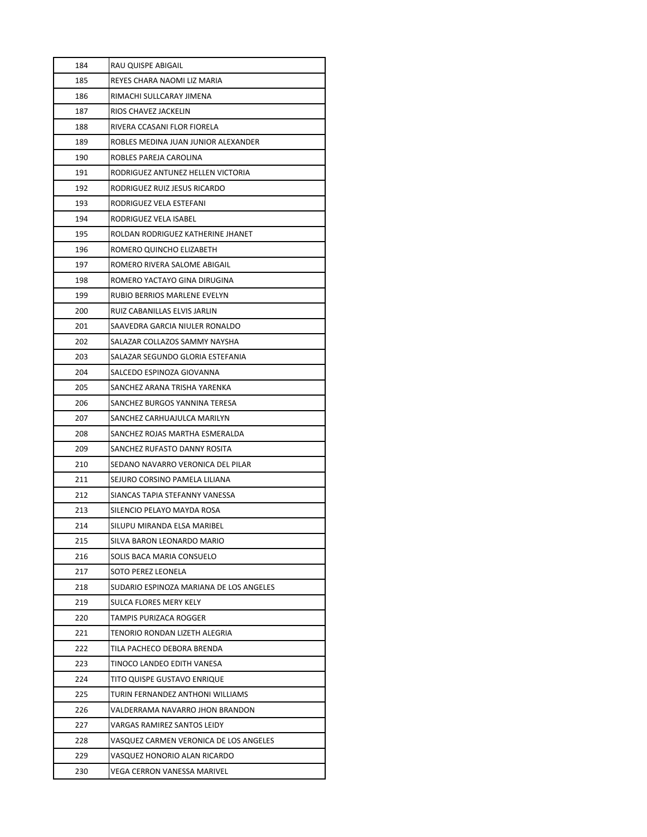| 184 | RAU QUISPE ABIGAIL                      |
|-----|-----------------------------------------|
| 185 | REYES CHARA NAOMI LIZ MARIA             |
| 186 | RIMACHI SULLCARAY JIMENA                |
| 187 | RIOS CHAVEZ JACKELIN                    |
| 188 | RIVERA CCASANI FLOR FIORELA             |
| 189 | ROBLES MEDINA JUAN JUNIOR ALEXANDER     |
| 190 | ROBLES PAREJA CAROLINA                  |
| 191 | RODRIGUEZ ANTUNEZ HELLEN VICTORIA       |
| 192 | RODRIGUEZ RUIZ JESUS RICARDO            |
| 193 | RODRIGUEZ VELA ESTEFANI                 |
| 194 | RODRIGUEZ VELA ISABEL                   |
| 195 | ROLDAN RODRIGUEZ KATHERINE JHANET       |
| 196 | ROMERO QUINCHO ELIZABETH                |
| 197 | ROMERO RIVERA SALOME ABIGAIL            |
| 198 | ROMERO YACTAYO GINA DIRUGINA            |
| 199 | <b>RUBIO BERRIOS MARLENE EVELYN</b>     |
| 200 | RUIZ CABANILLAS ELVIS JARLIN            |
| 201 | SAAVEDRA GARCIA NIULER RONALDO          |
| 202 | SALAZAR COLLAZOS SAMMY NAYSHA           |
| 203 | SALAZAR SEGUNDO GLORIA ESTEFANIA        |
| 204 | SALCEDO ESPINOZA GIOVANNA               |
| 205 | SANCHEZ ARANA TRISHA YARENKA            |
| 206 | SANCHEZ BURGOS YANNINA TERESA           |
| 207 | SANCHEZ CARHUAJULCA MARILYN             |
| 208 | SANCHEZ ROJAS MARTHA ESMERALDA          |
| 209 | SANCHEZ RUFASTO DANNY ROSITA            |
| 210 | SEDANO NAVARRO VERONICA DEL PILAR       |
| 211 | SEJURO CORSINO PAMELA LILIANA           |
| 212 | SIANCAS TAPIA STEFANNY VANESSA          |
| 213 | SILENCIO PELAYO MAYDA ROSA              |
| 214 | SILUPU MIRANDA ELSA MARIBEL             |
| 215 | SILVA BARON LEONARDO MARIO              |
| 216 | SOLIS BACA MARIA CONSUELO               |
| 217 | SOTO PEREZ LEONELA                      |
| 218 | SUDARIO ESPINOZA MARIANA DE LOS ANGELES |
| 219 | SULCA FLORES MERY KELY                  |
| 220 | TAMPIS PURIZACA ROGGER                  |
| 221 | TENORIO RONDAN LIZETH ALEGRIA           |
| 222 | TILA PACHECO DEBORA BRENDA              |
| 223 | TINOCO LANDEO EDITH VANESA              |
| 224 | TITO QUISPE GUSTAVO ENRIQUE             |
| 225 | TURIN FERNANDEZ ANTHONI WILLIAMS        |
| 226 | VALDERRAMA NAVARRO JHON BRANDON         |
| 227 | VARGAS RAMIREZ SANTOS LEIDY             |
| 228 | VASQUEZ CARMEN VERONICA DE LOS ANGELES  |
| 229 | VASQUEZ HONORIO ALAN RICARDO            |
| 230 | VEGA CERRON VANESSA MARIVEL             |